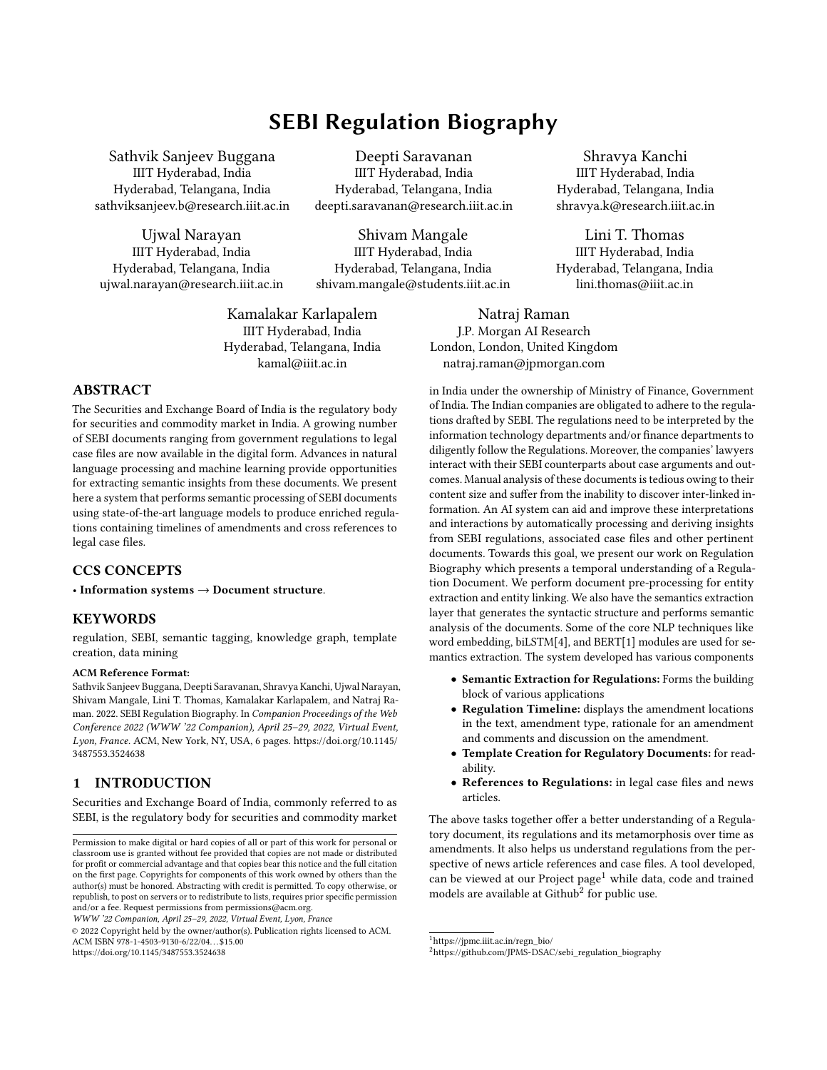# SEBI Regulation Biography

Sathvik Sanjeev Buggana IIIT Hyderabad, India Hyderabad, Telangana, India sathviksanjeev.b@research.iiit.ac.in

Ujwal Narayan IIIT Hyderabad, India Hyderabad, Telangana, India ujwal.narayan@research.iiit.ac.in

Deepti Saravanan IIIT Hyderabad, India Hyderabad, Telangana, India deepti.saravanan@research.iiit.ac.in

Shivam Mangale IIIT Hyderabad, India Hyderabad, Telangana, India shivam.mangale@students.iiit.ac.in

Kamalakar Karlapalem IIIT Hyderabad, India Hyderabad, Telangana, India kamal@iiit.ac.in

Natraj Raman J.P. Morgan AI Research London, London, United Kingdom natraj.raman@jpmorgan.com

# ABSTRACT

The Securities and Exchange Board of India is the regulatory body for securities and commodity market in India. A growing number of SEBI documents ranging from government regulations to legal case files are now available in the digital form. Advances in natural language processing and machine learning provide opportunities for extracting semantic insights from these documents. We present here a system that performs semantic processing of SEBI documents using state-of-the-art language models to produce enriched regulations containing timelines of amendments and cross references to legal case files.

## CCS CONCEPTS

• Information systems → Document structure.

# **KEYWORDS**

regulation, SEBI, semantic tagging, knowledge graph, template creation, data mining

#### ACM Reference Format:

Sathvik Sanjeev Buggana, Deepti Saravanan, Shravya Kanchi, Ujwal Narayan, Shivam Mangale, Lini T. Thomas, Kamalakar Karlapalem, and Natraj Raman. 2022. SEBI Regulation Biography. In Companion Proceedings of the Web Conference 2022 (WWW '22 Companion), April 25–29, 2022, Virtual Event, Lyon, France. ACM, New York, NY, USA, [6](#page-5-0) pages. [https://doi.org/10.1145/](https://doi.org/10.1145/3487553.3524638) [3487553.3524638](https://doi.org/10.1145/3487553.3524638)

# 1 INTRODUCTION

Securities and Exchange Board of India, commonly referred to as SEBI, is the regulatory body for securities and commodity market

© 2022 Copyright held by the owner/author(s). Publication rights licensed to ACM. ACM ISBN 978-1-4503-9130-6/22/04. . . \$15.00 <https://doi.org/10.1145/3487553.3524638>

in India under the ownership of Ministry of Finance, Government of India. The Indian companies are obligated to adhere to the regulations drafted by SEBI. The regulations need to be interpreted by the information technology departments and/or finance departments to diligently follow the Regulations. Moreover, the companies' lawyers interact with their SEBI counterparts about case arguments and outcomes. Manual analysis of these documents is tedious owing to their content size and suffer from the inability to discover inter-linked information. An AI system can aid and improve these interpretations and interactions by automatically processing and deriving insights from SEBI regulations, associated case files and other pertinent documents. Towards this goal, we present our work on Regulation Biography which presents a temporal understanding of a Regulation Document. We perform document pre-processing for entity extraction and entity linking. We also have the semantics extraction layer that generates the syntactic structure and performs semantic analysis of the documents. Some of the core NLP techniques like word embedding, biLSTM[\[4\]](#page-5-1), and BERT[\[1\]](#page-5-2) modules are used for semantics extraction. The system developed has various components

Shravya Kanchi IIIT Hyderabad, India Hyderabad, Telangana, India shravya.k@research.iiit.ac.in

Lini T. Thomas IIIT Hyderabad, India Hyderabad, Telangana, India lini.thomas@iiit.ac.in

- Semantic Extraction for Regulations: Forms the building block of various applications
- Regulation Timeline: displays the amendment locations in the text, amendment type, rationale for an amendment and comments and discussion on the amendment.
- Template Creation for Regulatory Documents: for readability.
- References to Regulations: in legal case files and news articles.

The above tasks together offer a better understanding of a Regulatory document, its regulations and its metamorphosis over time as amendments. It also helps us understand regulations from the perspective of news article references and case files. A tool developed, can be viewed at our Project page<sup>[1](#page-0-0)</sup> while data, code and trained models are available at Github $^2$  $^2$  for public use.

Permission to make digital or hard copies of all or part of this work for personal or classroom use is granted without fee provided that copies are not made or distributed for profit or commercial advantage and that copies bear this notice and the full citation on the first page. Copyrights for components of this work owned by others than the author(s) must be honored. Abstracting with credit is permitted. To copy otherwise, or republish, to post on servers or to redistribute to lists, requires prior specific permission and/or a fee. Request permissions from permissions@acm.org.

WWW '22 Companion, April 25–29, 2022, Virtual Event, Lyon, France

<span id="page-0-0"></span><sup>1</sup>[https://jpmc.iiit.ac.in/regn\\_bio/](https://jpmc.iiit.ac.in/regn_bio/)

<span id="page-0-1"></span><sup>2</sup>[https://github.com/JPMS-DSAC/sebi\\_regulation\\_biography](https://github.com/JPMS-DSAC/sebi_regulation_biography)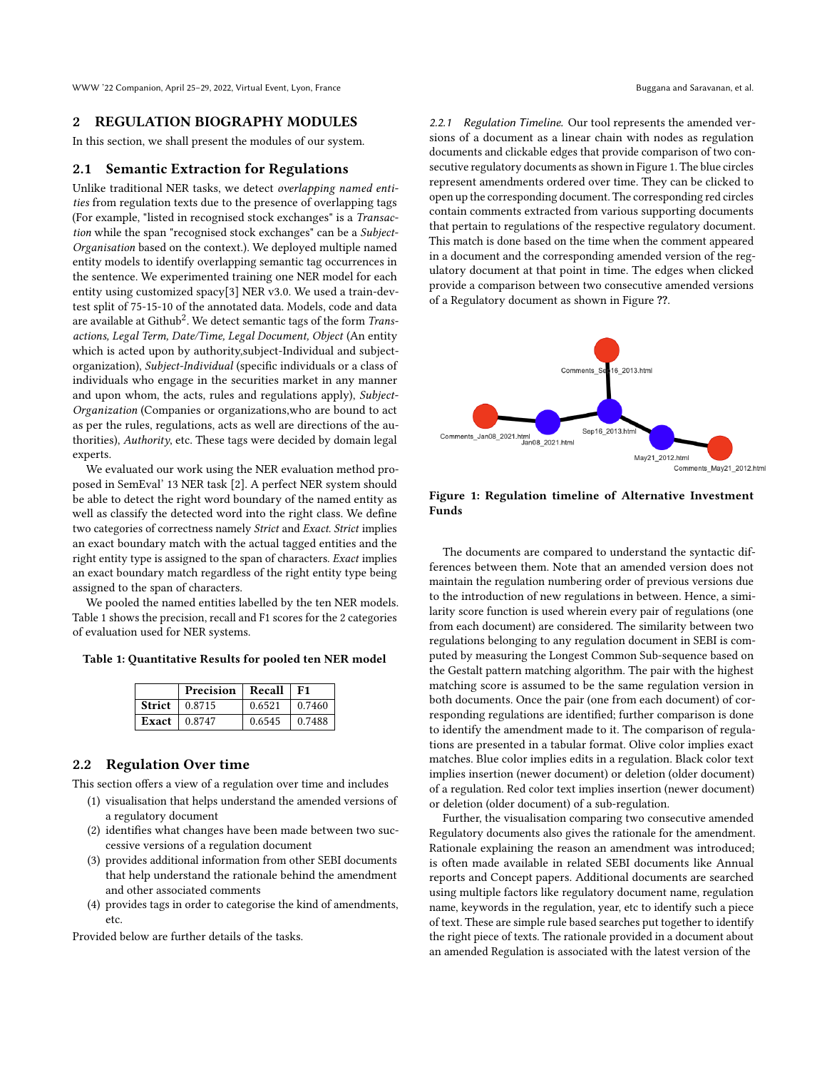WWW '22 Companion, April 25–29, 2022, Virtual Event, Lyon, France Buggana and Saravanan, et al.

### 2 REGULATION BIOGRAPHY MODULES

In this section, we shall present the modules of our system.

#### <span id="page-1-2"></span>2.1 Semantic Extraction for Regulations

Unlike traditional NER tasks, we detect overlapping named entities from regulation texts due to the presence of overlapping tags (For example, "listed in recognised stock exchanges" is a Transaction while the span "recognised stock exchanges" can be a Subject-Organisation based on the context.). We deployed multiple named entity models to identify overlapping semantic tag occurrences in the sentence. We experimented training one NER model for each entity using customized spacy[\[3\]](#page-5-3) NER v3.0. We used a train-devtest split of 75-15-10 of the annotated data. Models, code and data are available at  $\mathrm{Github}^{2}.$  $\mathrm{Github}^{2}.$  $\mathrm{Github}^{2}.$  We detect semantic tags of the form  $\emph{Trans}$ actions, Legal Term, Date/Time, Legal Document, Object (An entity which is acted upon by authority,subject-Individual and subjectorganization), Subject-Individual (specific individuals or a class of individuals who engage in the securities market in any manner and upon whom, the acts, rules and regulations apply), Subject-Organization (Companies or organizations,who are bound to act as per the rules, regulations, acts as well are directions of the authorities), Authority, etc. These tags were decided by domain legal experts.

We evaluated our work using the NER evaluation method proposed in SemEval' 13 NER task [\[2\]](#page-5-4). A perfect NER system should be able to detect the right word boundary of the named entity as well as classify the detected word into the right class. We define two categories of correctness namely Strict and Exact. Strict implies an exact boundary match with the actual tagged entities and the right entity type is assigned to the span of characters. Exact implies an exact boundary match regardless of the right entity type being assigned to the span of characters.

We pooled the named entities labelled by the ten NER models. Table [1](#page-1-0) shows the precision, recall and F1 scores for the 2 categories of evaluation used for NER systems.

<span id="page-1-0"></span>Table 1: Quantitative Results for pooled ten NER model

| Precision   Recall    |        | F1     |
|-----------------------|--------|--------|
| Strict $\vert$ 0.8715 | 0.6521 | 0.7460 |
| Exact $\pm 0.8747$    | 0.6545 | 0.7488 |

# 2.2 Regulation Over time

This section offers a view of a regulation over time and includes

- (1) visualisation that helps understand the amended versions of a regulatory document
- (2) identifies what changes have been made between two successive versions of a regulation document
- (3) provides additional information from other SEBI documents that help understand the rationale behind the amendment and other associated comments
- (4) provides tags in order to categorise the kind of amendments, etc.

Provided below are further details of the tasks.

2.2.1 Regulation Timeline. Our tool represents the amended versions of a document as a linear chain with nodes as regulation documents and clickable edges that provide comparison of two consecutive regulatory documents as shown in Figure [1.](#page-1-1) The blue circles represent amendments ordered over time. They can be clicked to open up the corresponding document. The corresponding red circles contain comments extracted from various supporting documents that pertain to regulations of the respective regulatory document. This match is done based on the time when the comment appeared in a document and the corresponding amended version of the regulatory document at that point in time. The edges when clicked provide a comparison between two consecutive amended versions of a Regulatory document as shown in Figure [??](#page-2-0).

<span id="page-1-1"></span>

Figure 1: Regulation timeline of Alternative Investment Funds

The documents are compared to understand the syntactic differences between them. Note that an amended version does not maintain the regulation numbering order of previous versions due to the introduction of new regulations in between. Hence, a similarity score function is used wherein every pair of regulations (one from each document) are considered. The similarity between two regulations belonging to any regulation document in SEBI is computed by measuring the Longest Common Sub-sequence based on the Gestalt pattern matching algorithm. The pair with the highest matching score is assumed to be the same regulation version in both documents. Once the pair (one from each document) of corresponding regulations are identified; further comparison is done to identify the amendment made to it. The comparison of regulations are presented in a tabular format. Olive color implies exact matches. Blue color implies edits in a regulation. Black color text implies insertion (newer document) or deletion (older document) of a regulation. Red color text implies insertion (newer document) or deletion (older document) of a sub-regulation.

Further, the visualisation comparing two consecutive amended Regulatory documents also gives the rationale for the amendment. Rationale explaining the reason an amendment was introduced; is often made available in related SEBI documents like Annual reports and Concept papers. Additional documents are searched using multiple factors like regulatory document name, regulation name, keywords in the regulation, year, etc to identify such a piece of text. These are simple rule based searches put together to identify the right piece of texts. The rationale provided in a document about an amended Regulation is associated with the latest version of the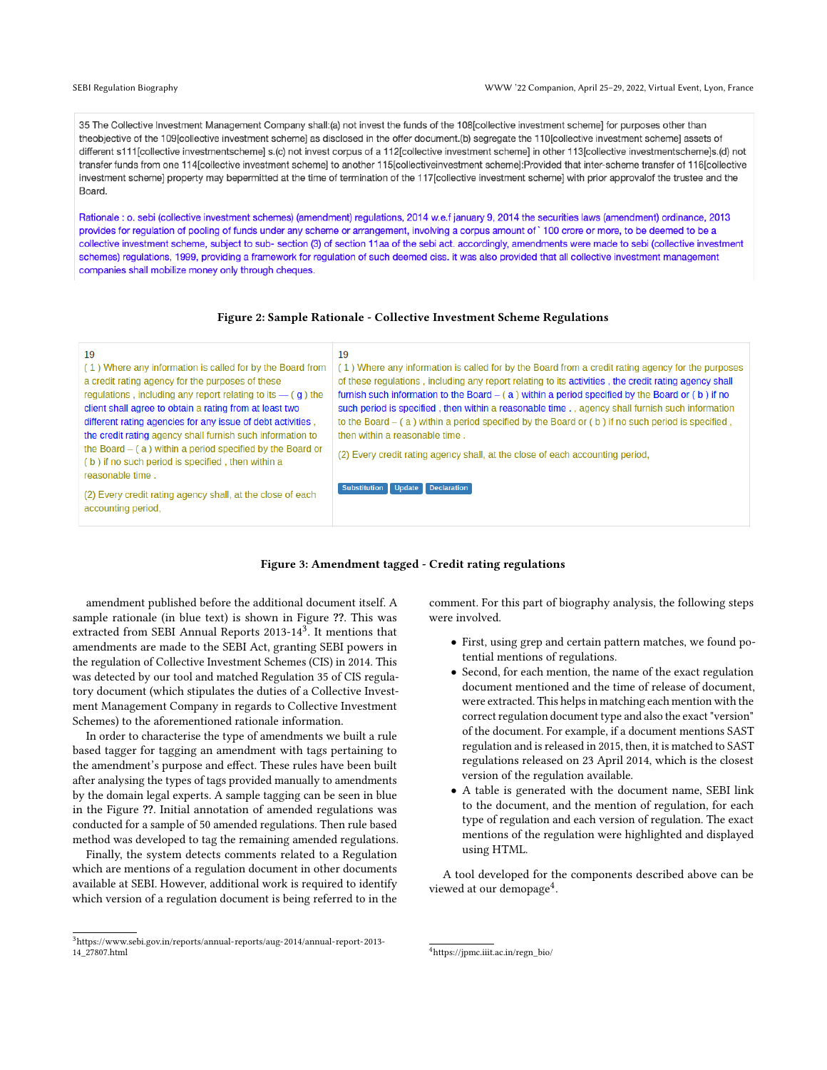<span id="page-2-1"></span>35 The Collective Investment Management Company shall:(a) not invest the funds of the 108 [collective investment scheme] for purposes other than theobjective of the 109[collective investment scheme] as disclosed in the offer document.(b) segregate the 110[collective investment scheme] assets of different s111 [collective investmentscheme] s.(c) not invest corpus of a 112 [collective investment scheme] in other 113 [collective investmentscheme]s.(d) not transfer funds from one 114[collective investment scheme] to another 115[collectiveinvestment scheme]:Provided that inter-scheme transfer of 116[collective investment scheme] property may bepermitted at the time of termination of the 117[collective investment scheme] with prior approvalof the trustee and the Board.

Rationale : o. sebi (collective investment schemes) (amendment) regulations, 2014 w.e.f january 9, 2014 the securities laws (amendment) ordinance, 2013 provides for regulation of pooling of funds under any scheme or arrangement, involving a corpus amount of ` 100 crore or more, to be deemed to be a collective investment scheme, subject to sub- section (3) of section 11aa of the sebi act. accordingly, amendments were made to sebi (collective investment schemes) regulations, 1999, providing a framework for regulation of such deemed ciss. it was also provided that all collective investment management companies shall mobilize money only through cheques.

#### Figure 2: Sample Rationale - Collective Investment Scheme Regulations

<span id="page-2-0"></span>

#### Figure 3: Amendment tagged - Credit rating regulations

amendment published before the additional document itself. A sample rationale (in blue text) is shown in Figure [??](#page-2-1). This was extracted from SEBI Annual Reports 201[3](#page-2-2)-14<sup>3</sup>. It mentions that amendments are made to the SEBI Act, granting SEBI powers in the regulation of Collective Investment Schemes (CIS) in 2014. This was detected by our tool and matched Regulation 35 of CIS regulatory document (which stipulates the duties of a Collective Investment Management Company in regards to Collective Investment Schemes) to the aforementioned rationale information.

In order to characterise the type of amendments we built a rule based tagger for tagging an amendment with tags pertaining to the amendment's purpose and effect. These rules have been built after analysing the types of tags provided manually to amendments by the domain legal experts. A sample tagging can be seen in blue in the Figure [??](#page-2-0). Initial annotation of amended regulations was conducted for a sample of 50 amended regulations. Then rule based method was developed to tag the remaining amended regulations.

Finally, the system detects comments related to a Regulation which are mentions of a regulation document in other documents available at SEBI. However, additional work is required to identify which version of a regulation document is being referred to in the

comment. For this part of biography analysis, the following steps were involved.

- First, using grep and certain pattern matches, we found potential mentions of regulations.
- Second, for each mention, the name of the exact regulation document mentioned and the time of release of document, were extracted. This helps in matching each mention with the correct regulation document type and also the exact "version" of the document. For example, if a document mentions SAST regulation and is released in 2015, then, it is matched to SAST regulations released on 23 April 2014, which is the closest version of the regulation available.
- A table is generated with the document name, SEBI link to the document, and the mention of regulation, for each type of regulation and each version of regulation. The exact mentions of the regulation were highlighted and displayed using HTML.

A tool developed for the components described above can be viewed at our demopage<sup>[4](#page-2-3)</sup>.

<span id="page-2-2"></span> $^3$ [https://www.sebi.gov.in/reports/annual-reports/aug-2014/annual-report-2013-](https://www.sebi.gov.in/reports/annual-reports/aug-2014/annual-report-2013-14_27807.html) [14\\_27807.html](https://www.sebi.gov.in/reports/annual-reports/aug-2014/annual-report-2013-14_27807.html)

<span id="page-2-3"></span><sup>4</sup>[https://jpmc.iiit.ac.in/regn\\_bio/](https://jpmc.iiit.ac.in/regn_bio/)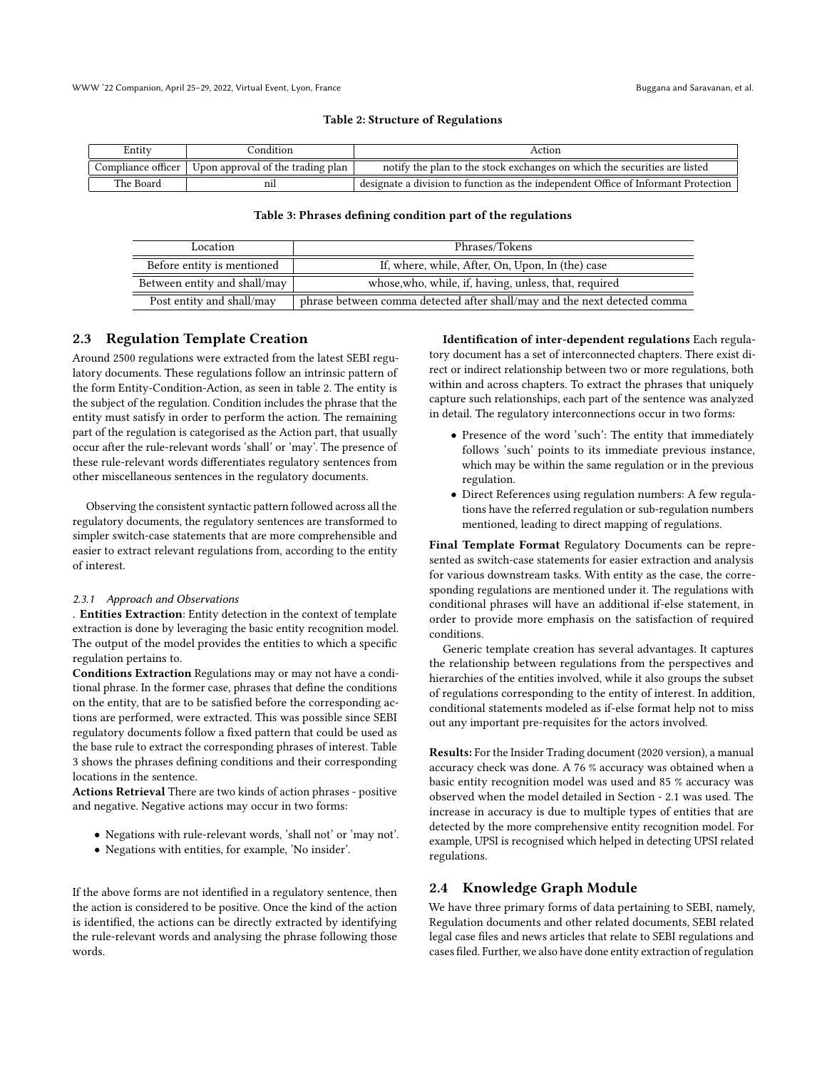#### Table 2: Structure of Regulations

<span id="page-3-1"></span><span id="page-3-0"></span>

| Entity             | condition?                        | Action                                                                             |
|--------------------|-----------------------------------|------------------------------------------------------------------------------------|
| Compliance officer | Upon approval of the trading plan | notify the plan to the stock exchanges on which the securities are listed          |
| The Board          | nıl                               | designate a division to function as the independent Office of Informant Protection |

#### Table 3: Phrases defining condition part of the regulations

| Location                     | Phrases/Tokens                                                            |  |
|------------------------------|---------------------------------------------------------------------------|--|
| Before entity is mentioned   | If, where, while, After, On, Upon, In (the) case                          |  |
| Between entity and shall/may | whose, who, while, if, having, unless, that, required                     |  |
| Post entity and shall/may    | phrase between comma detected after shall/may and the next detected comma |  |

### 2.3 Regulation Template Creation

Around 2500 regulations were extracted from the latest SEBI regulatory documents. These regulations follow an intrinsic pattern of the form Entity-Condition-Action, as seen in table [2.](#page-3-0) The entity is the subject of the regulation. Condition includes the phrase that the entity must satisfy in order to perform the action. The remaining part of the regulation is categorised as the Action part, that usually occur after the rule-relevant words 'shall' or 'may'. The presence of these rule-relevant words differentiates regulatory sentences from other miscellaneous sentences in the regulatory documents.

Observing the consistent syntactic pattern followed across all the regulatory documents, the regulatory sentences are transformed to simpler switch-case statements that are more comprehensible and easier to extract relevant regulations from, according to the entity of interest.

#### 2.3.1 Approach and Observations

. Entities Extraction: Entity detection in the context of template extraction is done by leveraging the basic entity recognition model. The output of the model provides the entities to which a specific regulation pertains to.

Conditions Extraction Regulations may or may not have a conditional phrase. In the former case, phrases that define the conditions on the entity, that are to be satisfied before the corresponding actions are performed, were extracted. This was possible since SEBI regulatory documents follow a fixed pattern that could be used as the base rule to extract the corresponding phrases of interest. Table [3](#page-3-1) shows the phrases defining conditions and their corresponding locations in the sentence.

Actions Retrieval There are two kinds of action phrases - positive and negative. Negative actions may occur in two forms:

- Negations with rule-relevant words, 'shall not' or 'may not'.
- Negations with entities, for example, 'No insider'.

If the above forms are not identified in a regulatory sentence, then the action is considered to be positive. Once the kind of the action is identified, the actions can be directly extracted by identifying the rule-relevant words and analysing the phrase following those words.

Identification of inter-dependent regulations Each regulatory document has a set of interconnected chapters. There exist direct or indirect relationship between two or more regulations, both within and across chapters. To extract the phrases that uniquely capture such relationships, each part of the sentence was analyzed in detail. The regulatory interconnections occur in two forms:

- Presence of the word 'such': The entity that immediately follows 'such' points to its immediate previous instance, which may be within the same regulation or in the previous regulation.
- Direct References using regulation numbers: A few regulations have the referred regulation or sub-regulation numbers mentioned, leading to direct mapping of regulations.

Final Template Format Regulatory Documents can be represented as switch-case statements for easier extraction and analysis for various downstream tasks. With entity as the case, the corresponding regulations are mentioned under it. The regulations with conditional phrases will have an additional if-else statement, in order to provide more emphasis on the satisfaction of required conditions.

Generic template creation has several advantages. It captures the relationship between regulations from the perspectives and hierarchies of the entities involved, while it also groups the subset of regulations corresponding to the entity of interest. In addition, conditional statements modeled as if-else format help not to miss out any important pre-requisites for the actors involved.

Results: For the Insider Trading document (2020 version), a manual accuracy check was done. A 76 % accuracy was obtained when a basic entity recognition model was used and 85 % accuracy was observed when the model detailed in Section - 2.1 was used. The increase in accuracy is due to multiple types of entities that are detected by the more comprehensive entity recognition model. For example, UPSI is recognised which helped in detecting UPSI related regulations.

### 2.4 Knowledge Graph Module

We have three primary forms of data pertaining to SEBI, namely, Regulation documents and other related documents, SEBI related legal case files and news articles that relate to SEBI regulations and cases filed. Further, we also have done entity extraction of regulation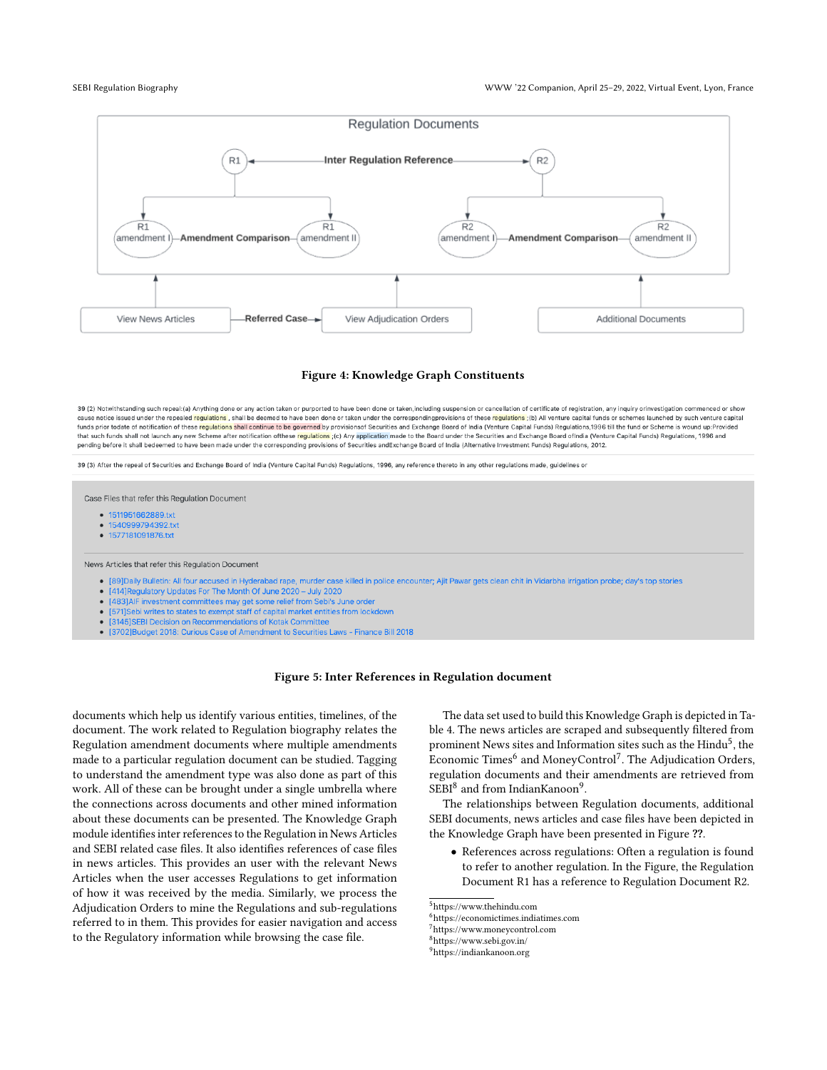#### SEBI Regulation Biography WWW '22 Companion, April 25–29, 2022, Virtual Event, Lyon, France

<span id="page-4-5"></span>

#### Figure 4: Knowledge Graph Constituents

<span id="page-4-6"></span>39 (2) Notwithstanding such repeal: (a) Anything done or any action taken or purported to have been done or taken, including suspension or cancellation of certificate of registration, any inquiry orinvestigation commenced cause notice issued under the repealed regulations, shall be deemed to have been done or taken under the correspondingprovisions of these regulations (b)) All venture capital funds or schemes launched by such venture capit funds prior todate of notification of these regulations shall continue to be governed by provisionsof Securities and Exchange Board of India (Venture Capital Funds) Regulations,1996 till the fund or Scheme is wound up:Prov that such funds shall not launch any new Scheme after notification ofthese regulations;(c) Any application made to the Board under the Securities and Exchange Board ofindia (Venture Capital Funds) Regulations, 1996 and pending before it shall bedeemed to have been made under the corresponding provisions of Securities andExchange Board of India (Alternative Investment Funds) Regulations, 2012.

39 (3) After the repeal of Securities and Exchange Board of India (Venture Capital Funds) Regulations, 1996, any reference thereto in any other regulations made, guidelines or

Case Files that refer this Regulation Document

- 1511951662889.txt
- 1540999794392.txt
- 1577181091876.txt

News Articles that refer this Regulation Document

- · [89]Daily Bulletin: All four accused in Hyderabad rape, murder case killed in police encounter; Ajit Pawar gets clean chit in Vidarbha irrigation probe; day's top stories
- [414] Regulatory Updates For The Month Of June 2020 July 2020
- $\bullet$ [483] AIF investment committees may get some relief from Sebi's June order
- [571]Sebi writes to states to exempt staff of capital market entities from lockdown  $\bullet$
- [3145] SEBI Decision on Recommendations of Kotak Committee
- [3702]Budget 2018: Curious Case of Amendment to Securities Laws Finance Bill 2018

#### Figure 5: Inter References in Regulation document

documents which help us identify various entities, timelines, of the document. The work related to Regulation biography relates the Regulation amendment documents where multiple amendments made to a particular regulation document can be studied. Tagging to understand the amendment type was also done as part of this work. All of these can be brought under a single umbrella where the connections across documents and other mined information about these documents can be presented. The Knowledge Graph module identifies inter references to the Regulation in News Articles and SEBI related case files. It also identifies references of case files in news articles. This provides an user with the relevant News Articles when the user accesses Regulations to get information of how it was received by the media. Similarly, we process the Adjudication Orders to mine the Regulations and sub-regulations referred to in them. This provides for easier navigation and access to the Regulatory information while browsing the case file.

The data set used to build this Knowledge Graph is depicted in Table [4.](#page-5-5) The news articles are scraped and subsequently filtered from prominent News sites and Information sites such as the  $\operatorname{Hindu}^5,$  $\operatorname{Hindu}^5,$  $\operatorname{Hindu}^5,$  the Economic Times<sup>[6](#page-4-1)</sup> and MoneyControl<sup>[7](#page-4-2)</sup>. The Adjudication Orders, regulation documents and their amendments are retrieved from  $\rm SEBI^8$  $\rm SEBI^8$  and from IndianKanoon $^9$  $^9$ .

The relationships between Regulation documents, additional SEBI documents, news articles and case files have been depicted in the Knowledge Graph have been presented in Figure [??](#page-4-5).

• References across regulations: Often a regulation is found to refer to another regulation. In the Figure, the Regulation Document R1 has a reference to Regulation Document R2.

<span id="page-4-4"></span><sup>9</sup><https://indiankanoon.org>

<span id="page-4-0"></span><sup>5</sup><https://www.thehindu.com>

<span id="page-4-1"></span><sup>6</sup><https://economictimes.indiatimes.com>

<span id="page-4-2"></span><sup>7</sup><https://www.moneycontrol.com>

<span id="page-4-3"></span><sup>8</sup><https://www.sebi.gov.in/>